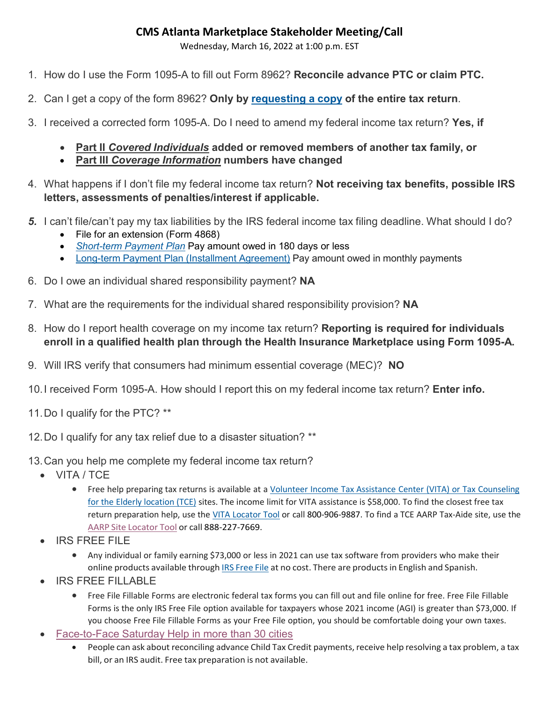# **CMS Atlanta Marketplace Stakeholder Meeting/Call**

Wednesday, March 16, 2022 at 1:00 p.m. EST

- 1. How do I use the Form 1095-A to fill out Form 8962? **Reconcile advance PTC or claim PTC.**
- 2. Can I get a copy of the form 8962? **Only by [requesting](https://www.irs.gov/pub/irs-pdf/f4506.pdf) a copy of the entire tax return**.
- 3. I received a corrected form 1095-A. Do I need to amend my federal income tax return? **Yes, if**
	- **Part II** *Covered Individuals* **added or removed members of another tax family, or**
	- **Part III** *Coverage Information* **numbers have changed**
- 4. What happens if I don't file my federal income tax return? **Not receiving tax benefits, possible IRS letters, assessments of penalties/interest if applicable.**
- *5.* I can't file/can't pay my tax liabilities by the IRS federal income tax filing deadline. What should I do?
	- File for an extension (Form 4868)
	- *Short-term [Payment Plan](https://www.irs.gov/payments/payment-plans-installment-agreements#collapseCollapsible1646961433957)* Pay amount owed in 180 days or less
	- Long-term Payment Plan (Installment [Agreement\)](https://www.irs.gov/payments/payment-plans-installment-agreements#collapseCollapsible1646961433946) Pay amount owed in monthly payments
- 6. Do I owe an individual shared responsibility payment? **NA**
- 7. What are the requirements for the individual shared responsibility provision? **NA**
- 8. How do I report health coverage on my income tax return? **Reporting is required for individuals enroll in a qualified health plan through the Health Insurance Marketplace using Form 1095-A.**
- 9. Will IRS verify that consumers had minimum essential coverage (MEC)? **NO**
- 10.I received Form 1095-A. How should I report this on my federal income tax return? **Enter info.**
- 11.Do I qualify for the PTC? \*\*
- 12.Do I qualify for any tax relief due to a disaster situation? \*\*
- 13.Can you help me complete my federal income tax return?
	- VITA / TCE
		- Free help preparing tax returns is available at a Volunteer Income Tax Assistance Center (VITA) or Tax [Counseling](https://www.irs.gov/individuals/free-tax-return-preparation-for-qualifying-taxpayers) for the Elderly [location \(TCE\)](https://www.irs.gov/individuals/free-tax-return-preparation-for-qualifying-taxpayers) sites. The income limit for VITA assistance is \$58,000. To find the closest free tax return preparation help, use the VITA [Locator](https://irs.treasury.gov/freetaxprep/) Tool or call 800-906-9887. To find a TCE AARP Tax-Aide site, use the AARP Site [Locator](https://www.aarp.org/money/taxes/aarp_taxaide/locations.html) Tool or call 888-227-7669.
	- IRS FREE FILE
		- Any individual or family earning \$73,000 or less in 2021 can use tax software from providers who make their online products available through IRS [Free](https://www.irs.gov/filing/free-file-do-your-federal-taxes-for-free) File at no cost. There are productsin English and Spanish.
	- IRS FREE FILLABLE
		- Free File Fillable Forms are electronic federal tax forms you can fill out and file online for free. Free File Fillable Forms is the only IRS Free File option available for taxpayers whose 2021 income (AGI) is greater than \$73,000. If you choose Free File Fillable Forms as your Free File option, you should be comfortable doing your own taxes.
	- [Face-to-Face](https://www.irs.gov/help/irs-face-to-face-saturday-help) Saturday Help in more than 30 cities
		- People can ask about reconciling advance Child Tax Credit payments, receive help resolving a tax problem, a tax bill, or an IRS audit. Free tax preparation is not available.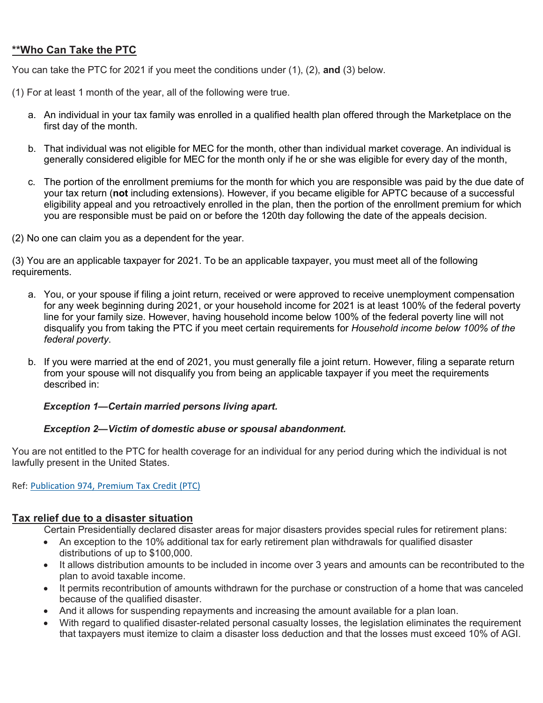### **\*\*Who Can Take the PTC**

You can take the PTC for 2021 if you meet the conditions under (1), (2), **and** (3) below.

- (1) For at least 1 month of the year, all of the following were true.
	- a. An individual in your tax family was enrolled in a qualified health plan offered through the Marketplace on the first day of the month.
	- b. That individual was not eligible for MEC for the month, other than individual market coverage. An individual is generally considered eligible for MEC for the month only if he or she was eligible for every day of the month,
	- c. The portion of the enrollment premiums for the month for which you are responsible was paid by the due date of your tax return (**not** including extensions). However, if you became eligible for APTC because of a successful eligibility appeal and you retroactively enrolled in the plan, then the portion of the enrollment premium for which you are responsible must be paid on or before the 120th day following the date of the appeals decision.
- (2) No one can claim you as a dependent for the year.

(3) You are an applicable taxpayer for 2021. To be an applicable taxpayer, you must meet all of the following requirements.

- a. You, or your spouse if filing a joint return, received or were approved to receive unemployment compensation for any week beginning during 2021, or your household income for 2021 is at least 100% of the federal poverty line for your family size. However, having household income below 100% of the federal poverty line will not disqualify you from taking the PTC if you meet certain requirements for *Household income below 100% of the federal poverty*.
- b. If you were married at the end of 2021, you must generally file a joint return. However, filing a separate return from your spouse will not disqualify you from being an applicable taxpayer if you meet the requirements described in:

#### *Exception 1—Certain married persons living apart.*

#### *Exception 2—Victim of domestic abuse or spousal abandonment.*

You are not entitled to the PTC for health coverage for an individual for any period during which the individual is not lawfully present in the United States.

Ref: [Publication](https://www.irs.gov/pub/irs-pdf/p974.pdf) 974, Premium Tax Credit (PTC)

### **Tax relief due to a disaster situation**

Certain Presidentially declared disaster areas for major disasters provides special rules for retirement plans:

- An exception to the 10% additional tax for early retirement plan withdrawals for qualified disaster distributions of up to \$100,000.
- It allows distribution amounts to be included in income over 3 years and amounts can be recontributed to the plan to avoid taxable income.
- It permits recontribution of amounts withdrawn for the purchase or construction of a home that was canceled because of the qualified disaster.
- And it allows for suspending repayments and increasing the amount available for a plan loan.
- With regard to qualified disaster-related personal casualty losses, the legislation eliminates the requirement that taxpayers must itemize to claim a disaster loss deduction and that the losses must exceed 10% of AGI.